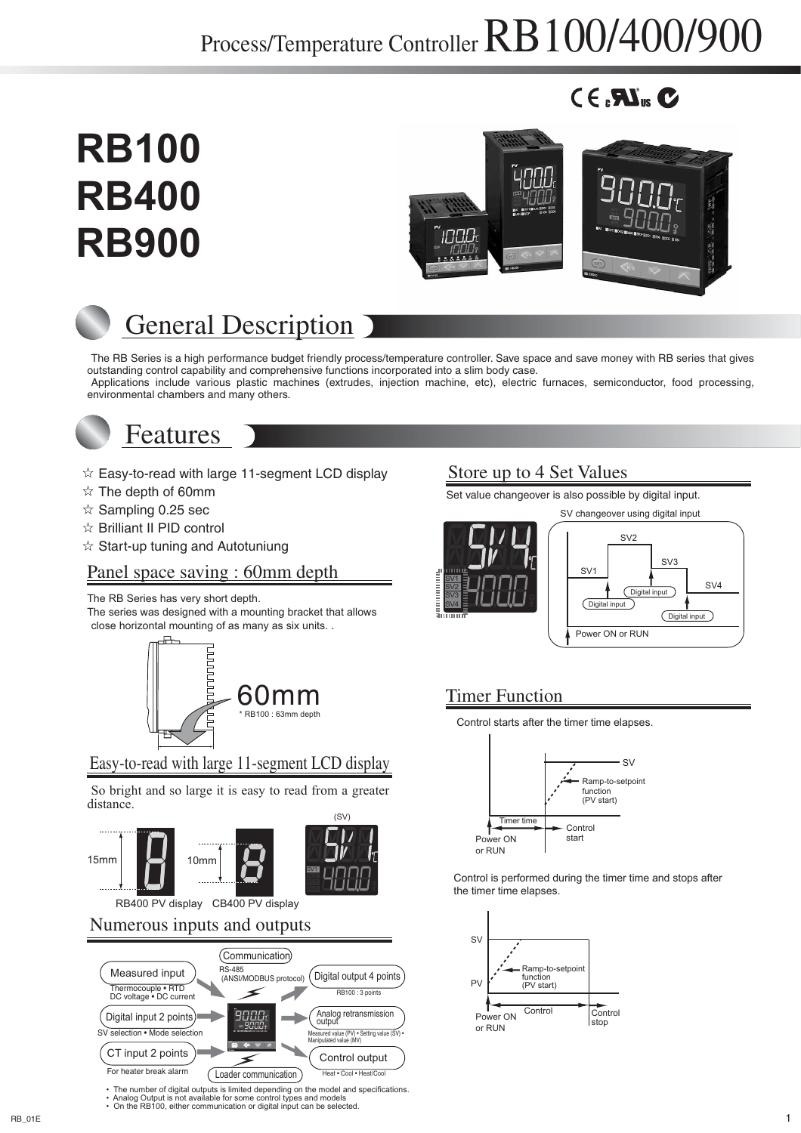# Process/Temperature Controller RB100/400/900

# $C \in \mathbf{M}_{\text{us}} C$





# General Description

The RB Series is a high performance budget friendly process/temperature controller. Save space and save money with RB series that gives outstanding control capability and comprehensive functions incorporated into a slim body case. Applications include various plastic machines (extrudes, injection machine, etc), electric furnaces, semiconductor, food processing, environmental chambers and many others.



# Features

- $\hat{x}$  Easy-to-read with large 11-segment LCD display
- $\hat{x}$  The depth of 60mm

**RB100**

**RB400** 

**RB900**

- $\hat{x}$  Sampling 0.25 sec
- $\hat{x}$  Brilliant II PID control
- $\hat{x}$  Start-up tuning and Autotuniung

# Panel space saving : 60mm depth

The RB Series has very short depth.

The series was designed with a mounting bracket that allows close horizontal mounting of as many as six units. .



# Easy-to-read with large 11-segment LCD display

So bright and so large it is easy to read from a greater distance. (SV)



# Numerous inputs and outputs



• The number of digital outputs is limited depending on the model and specifications.<br>• Analog Output is not available for some control types and models<br>• On the RB100, either communication or digital input can be selecte

# Store up to 4 Set Values

Set value changeover is also possible by digital input.



# 60mm Timer Function

Control starts after the timer time elapses.



Control is performed during the timer time and stops after the timer time elapses.

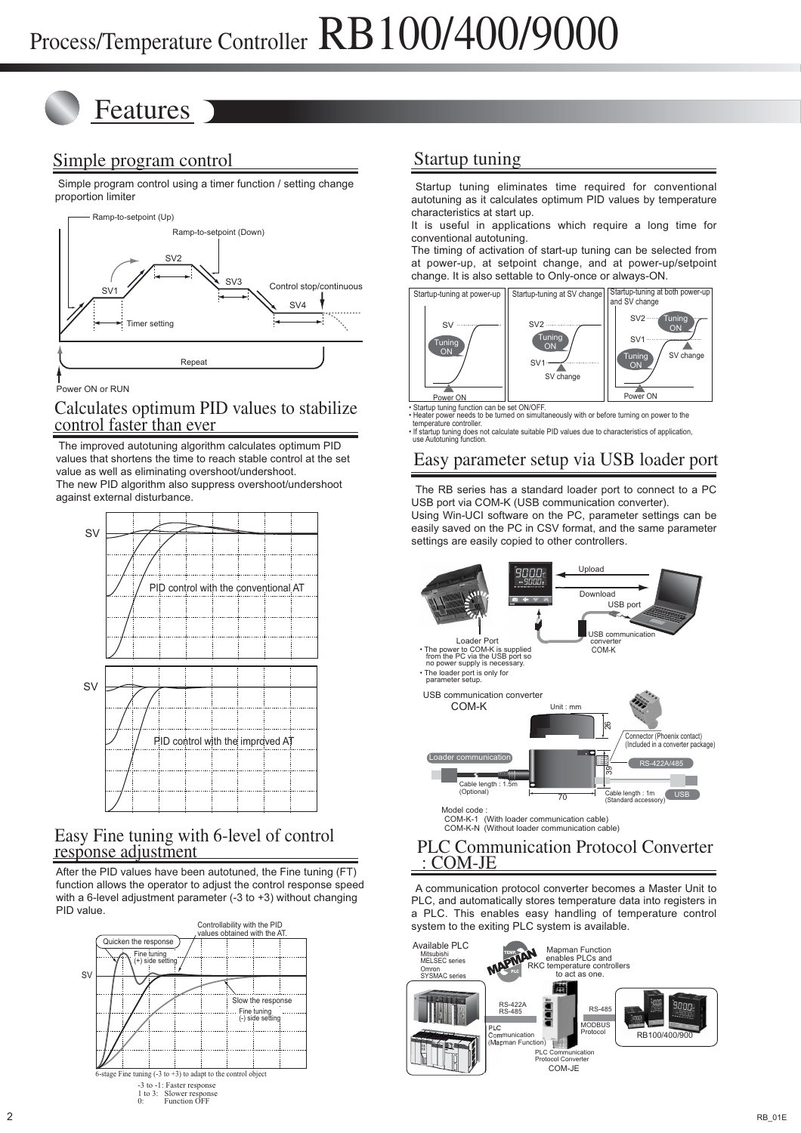# Features

# Simple program control

 Simple program control using a timer function / setting change proportion limiter



Power ON or RUN

### Calculates optimum PID values to stabilize control faster than ever

 The improved autotuning algorithm calculates optimum PID values that shortens the time to reach stable control at the set value as well as eliminating overshoot/undershoot. The new PID algorithm also suppress overshoot/undershoot against external disturbance.



## Easy Fine tuning with 6-level of control response adjustment

After the PID values have been autotuned, the Fine tuning (FT) function allows the operator to adjust the control response speed with a 6-level adjustment parameter  $(-3)$  to  $+3$ ) without changing PID value.



# Startup tuning

Startup tuning eliminates time required for conventional autotuning as it calculates optimum PID values by temperature characteristics at start up.

It is useful in applications which require a long time for conventional autotuning.

The timing of activation of start-up tuning can be selected from at power-up, at setpoint change, and at power-up/setpoint change. It is also settable to Only-once or always-ON.



• Startup tuning function can be set ON/OFF. • Heater power needs to be turned on simultaneously with or before turning on power to the temperature controller.

• If startup tuning does not calculate suitable PID values due to characteristics of application, use Autotuning function.

## Easy parameter setup via USB loader port

The RB series has a standard loader port to connect to a PC USB port via COM-K (USB communication converter).

Using Win-UCI software on the PC, parameter settings can be easily saved on the PC in CSV format, and the same parameter settings are easily copied to other controllers.



### PLC Communication Protocol Converter : COM-JE

A communication protocol converter becomes a Master Unit to PLC, and automatically stores temperature data into registers in a PLC. This enables easy handling of temperature control system to the exiting PLC system is available.

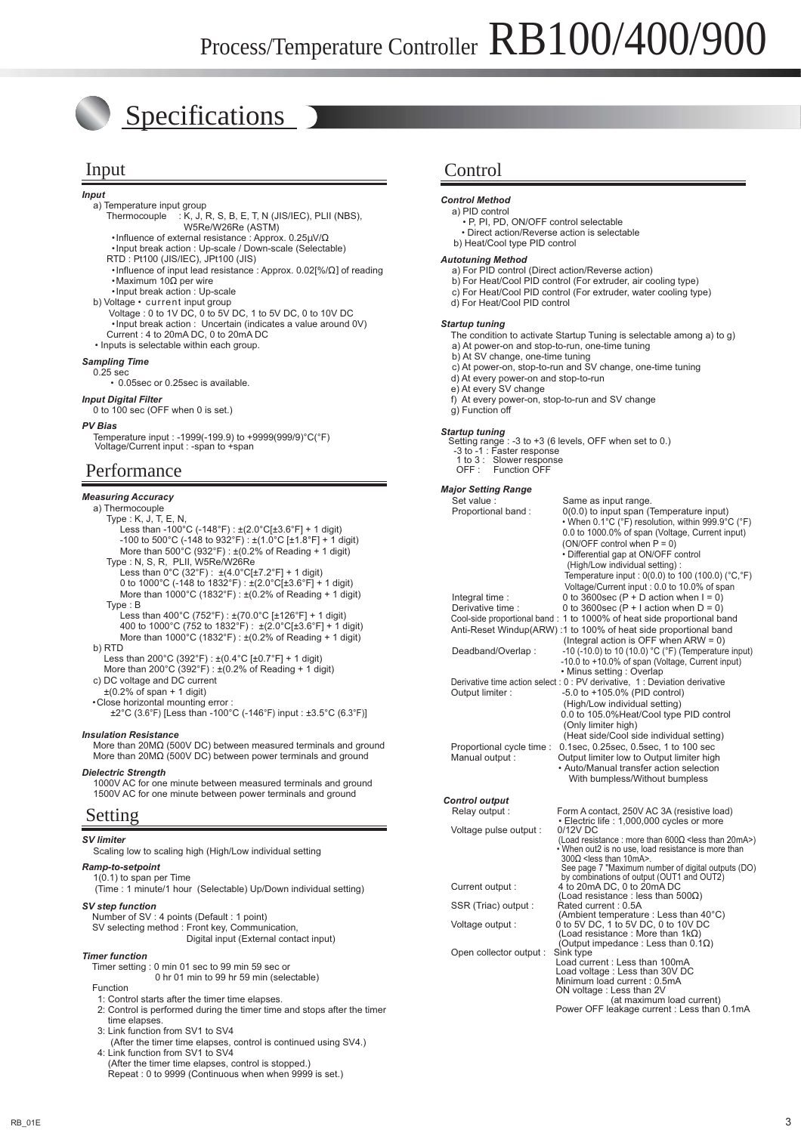# Specifications

*Input*

- a) Temperature input group Thermocouple : K, J, R, S, B, E, T, N (JIS/IEC), PLII (NBS), W5Re/W26Re (ASTM) •Influence of external resistance : Approx. 0.25µV/Ω •Input break action : Up-scale / Down-scale (Selectable)
	- RTD : Pt100 (JIS/IEC), JPt100 (JIS)
	- •Influence of input lead resistance : Approx. 0.02[%/Ω] of reading •Maximum 10Ω per wire
	- •Input break action : Up-scale
- b) Voltage current input group
- Voltage : 0 to 1V DC, 0 to 5V DC, 1 to 5V DC, 0 to 10V DC •Input break action : Uncertain (indicates a value around 0V) Current : 4 to 20mA DC, 0 to 20mA DC • Inputs is selectable within each group.
	-

### *Sampling Time*

0.25 sec • 0.05sec or 0.25sec is available.

### *Input Digital Filter*

0 to 100 sec (OFF when 0 is set.)

#### *PV Bias*

Temperature input : -1999(-199.9) to +9999(999/9)°C(°F) Voltage/Current input : -span to +span

### Performance

#### *Measuring Accuracy*

- a) Thermocouple
	- Type : K, J, T, E, N,
	- Less than -100°C (-148°F) :  $\pm$ (2.0°CI $\pm$ 3.6°FI + 1 digit) -100 to 500°C (-148 to 932°F) : ±(1.0°C [±1.8°F] + 1 digit) More than  $500^{\circ}$ C (932°F) :  $\pm (0.2\% \text{ of Reading + 1 digit})$
	- Type : N, S, R, PLII, W5Re/W26Re
- Less than  $0^{\circ}$ C (32 $^{\circ}$ F) :  $\pm$ (4.0 $^{\circ}$ C[ $\pm$ 7.2 $^{\circ}$ F] + 1 digit) 0 to 1000°C (-148 to 1832°F) : ±(2.0°C[±3.6°F] + 1 digit) More than 1000°C (1832°F) : ±(0.2% of Reading + 1 digit)
- Type : B Less than 400°C (752°F) : ±(70.0°C [±126°F] + 1 digit) 400 to 1000°C (752 to 1832°F) : ±(2.0°C[±3.6°F] + 1 digit) More than 1000°C (1832°F) : ±(0.2% of Reading + 1 digit)
	- b) RTD
- Less than 200°C (392°F) : ±(0.4°C [±0.7°F] + 1 digit)
- More than 200°C (392°F) : ±(0.2% of Reading + 1 digit) c) DC voltage and DC current
	- $\pm$ (0.2% of span + 1 digit)
	- •Close horizontal mounting error :
		- ±2°C (3.6°F) [Less than -100°C (-146°F) input : ±3.5°C (6.3°F)]

#### *Insulation Resistance*

 More than 20MΩ (500V DC) between measured terminals and ground More than 20MΩ (500V DC) between power terminals and ground

#### *Dielectric Strength*

 1000V AC for one minute between measured terminals and ground 1500V AC for one minute between power terminals and ground

### Setting

#### *SV limiter*

Scaling low to scaling high (High/Low individual setting

#### *Ramp-to-setpoint*

 1(0.1) to span per Time (Time : 1 minute/1 hour (Selectable) Up/Down individual setting)

#### *SV step function*

 Number of SV : 4 points (Default : 1 point) SV selecting method : Front key, Communication, Digital input (External contact input)

#### *Timer function*

 Timer setting : 0 min 01 sec to 99 min 59 sec or 0 hr 01 min to 99 hr 59 min (selectable)

- Function
- 1: Control starts after the timer time elapses. 2: Control is performed during the timer time and stops after the timer time elapses.
- 3: Link function from SV1 to SV4
- (After the timer time elapses, control is continued using SV4.) 4: Link function from SV1 to SV4
- (After the timer time elapses, control is stopped.) Repeat : 0 to 9999 (Continuous when when 9999 is set.)

## Input Control

#### *Control Method*

- a) PID control • P, PI, PD, ON/OFF control selectable
	- Direct action/Reverse action is selectable
- b) Heat/Cool type PID control

#### *Autotuning Method*

- a) For PID control (Direct action/Reverse action)
- b) For Heat/Cool PID control (For extruder, air cooling type)
- c) For Heat/Cool PID control (For extruder, water cooling type)
- d) For Heat/Cool PID control

#### *Startup tuning*

 The condition to activate Startup Tuning is selectable among a) to g) a) At power-on and stop-to-run, one-time tuning

- b) At SV change, one-time tuning
- c) At power-on, stop-to-run and SV change, one-time tuning
- d) At every power-on and stop-to-run
- e) At every SV change
- f) At every power-on, stop-to-run and SV change g) Function off

#### *Startup tuning*

 $-3$  to  $+3$  (6 levels, OFF when set to 0.) Setting range : -3 to +3 (6 l<br>-3 to -1 : Faster response 1 to 3 : Slower response

| OFF: | <b>Function OFF</b> |  |
|------|---------------------|--|
|      |                     |  |

#### *Major Setting Range*

| $J = -1$<br>Set value :   | Same as input range.                                                                              |
|---------------------------|---------------------------------------------------------------------------------------------------|
| Proportional band:        | 0(0.0) to input span (Temperature input)                                                          |
|                           | • When 0.1°C (°F) resolution, within 999.9°C (°F)                                                 |
|                           | 0.0 to 1000.0% of span (Voltage, Current input)                                                   |
|                           | (ON/OFF control when $P = 0$ )                                                                    |
|                           | • Differential gap at ON/OFF control                                                              |
|                           | (High/Low individual setting):                                                                    |
|                           | Temperature input : $0(0.0)$ to 100 (100.0) (°C,°F)                                               |
|                           | Voltage/Current input: 0.0 to 10.0% of span                                                       |
| Integral time:            | 0 to 3600sec (P + D action when $I = 0$ )                                                         |
| Derivative time :         | 0 to 3600sec (P + I action when $D = 0$ )                                                         |
|                           | Cool-side proportional band: 1 to 1000% of heat side proportional band                            |
|                           | Anti-Reset Windup(ARW):1 to 100% of heat side proportional band                                   |
|                           | (Integral action is OFF when ARW = $0$ )                                                          |
|                           | -10 (-10.0) to 10 (10.0) °C (°F) (Temperature input)                                              |
| Deadband/Overlap:         | -10.0 to +10.0% of span (Voltage, Current input)                                                  |
|                           | • Minus setting : Overlap                                                                         |
|                           | Derivative time action select : 0 : PV derivative, 1 : Deviation derivative                       |
| Output limiter:           | -5.0 to +105.0% (PID control)                                                                     |
|                           | (High/Low individual setting)                                                                     |
|                           | 0.0 to 105.0%Heat/Cool type PID control                                                           |
|                           | (Only limiter high)                                                                               |
|                           | (Heat side/Cool side individual setting)                                                          |
| Proportional cycle time : | 0.1sec, 0.25sec, 0.5sec, 1 to 100 sec                                                             |
| Manual output :           | Output limiter low to Output limiter high                                                         |
|                           | • Auto/Manual transfer action selection                                                           |
|                           | With bumpless/Without bumpless                                                                    |
|                           |                                                                                                   |
| <b>Control output</b>     |                                                                                                   |
| Relay output:             | Form A contact, 250V AC 3A (resistive load)                                                       |
|                           | · Electric life : 1,000,000 cycles or more                                                        |
| Voltage pulse output :    | 0/12V DC                                                                                          |
|                           | (Load resistance: more than $600\Omega$ <less 20ma="" than="">)</less>                            |
|                           | • When out2 is no use, load resistance is more than<br>$300\Omega$ <less 10ma="" than="">.</less> |
|                           | See page 7 "Maximum number of digital outputs (DO)                                                |
|                           | by combinations of output (OUT1 and OUT2)                                                         |
| Current output :          | 4 to 20mA DC, 0 to 20mA DC                                                                        |
|                           | (Load resistance : less than $500\Omega$ )                                                        |
| SSR (Triac) output :      | Rated current: 0.5A                                                                               |
|                           | (Ambient temperature : Less than 40°C)                                                            |
| Voltage output:           | 0 to 5V DC, 1 to 5V DC, 0 to 10V DC                                                               |
|                           | (Load resistance : More than 1k $\Omega$ )<br>(Output impedance: Less than $0.1\Omega$ )          |
| Open collector output :   | Sink type                                                                                         |
|                           | Load current: Less than 100mA                                                                     |
|                           | Load voltage: Less than 30V DC                                                                    |
|                           | Minimum load current : 0.5mA                                                                      |
|                           | ON voltage : Less than 2V                                                                         |

 (at maximum load current) Power OFF leakage current : Less than 0.1mA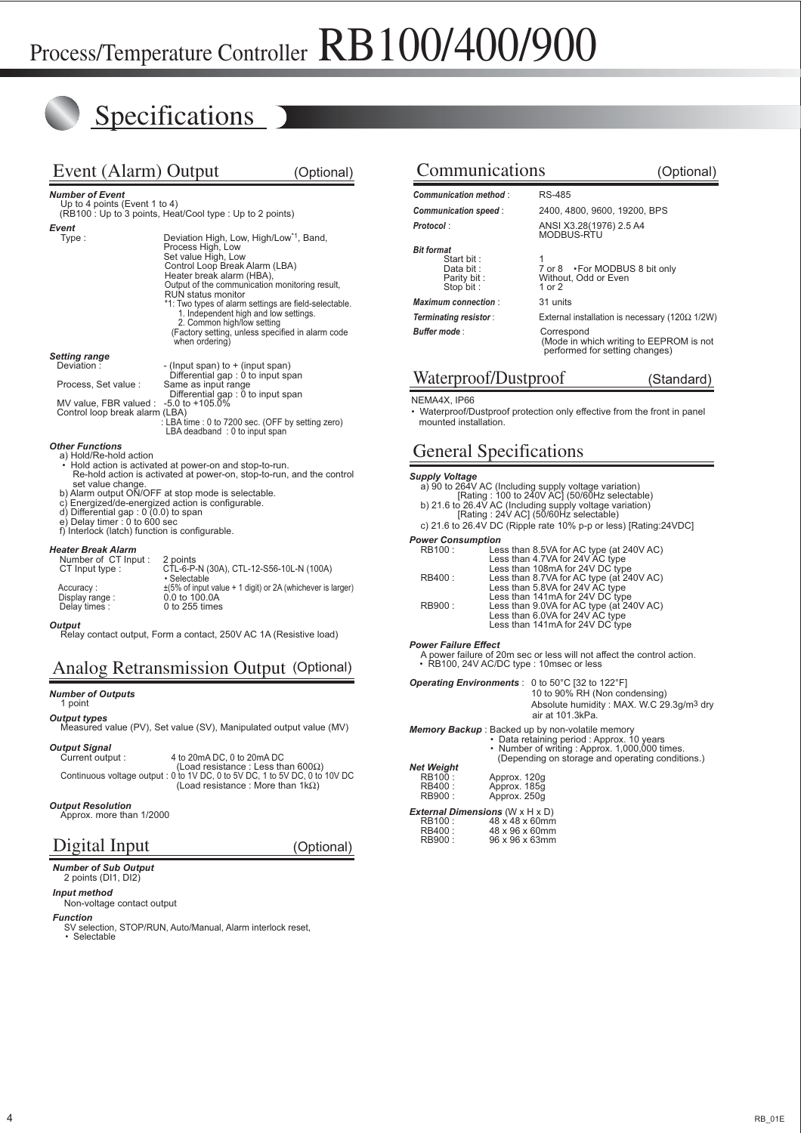# **Specifications**

| Event (Alarm) Output                                                                                                                                                                                                                                                                                                                                                                                                                            |                                                                                                                                                                                                                                                                               | (Optional)                                                                                                                                                  |  |  |  |  |  |  |  |  |  |
|-------------------------------------------------------------------------------------------------------------------------------------------------------------------------------------------------------------------------------------------------------------------------------------------------------------------------------------------------------------------------------------------------------------------------------------------------|-------------------------------------------------------------------------------------------------------------------------------------------------------------------------------------------------------------------------------------------------------------------------------|-------------------------------------------------------------------------------------------------------------------------------------------------------------|--|--|--|--|--|--|--|--|--|
| <b>Number of Event</b><br>Up to 4 points (Event 1 to 4)<br>(RB100 : Up to 3 points, Heat/Cool type : Up to 2 points)                                                                                                                                                                                                                                                                                                                            |                                                                                                                                                                                                                                                                               |                                                                                                                                                             |  |  |  |  |  |  |  |  |  |
| Event<br>Type:                                                                                                                                                                                                                                                                                                                                                                                                                                  | Deviation High, Low, High/Low <sup>*1</sup> , Band,<br>Process High, Low<br>Set value High, Low<br>Control Loop Break Alarm (LBA)<br>Heater break alarm (HBA),<br>RUN status monitor<br>1. Independent high and low settings.<br>2. Common high/low setting<br>when ordering) | Output of the communication monitoring result,<br>*1: Two types of alarm settings are field-selectable.<br>(Factory setting, unless specified in alarm code |  |  |  |  |  |  |  |  |  |
| <b>Setting range</b><br>Deviation:<br>Process, Set value :<br>MV value, FBR valued :<br>Control loop break alarm (LBA)                                                                                                                                                                                                                                                                                                                          | - (Input span) to + (input span)<br>Differential gap: 0 to input span<br>Same as input range<br>Differential gap : 0 to input span<br>$-5.0$ to $+105.0\%$<br>LBA deadband: 0 to input span                                                                                   | : LBA time : 0 to 7200 sec. (OFF by setting zero)                                                                                                           |  |  |  |  |  |  |  |  |  |
| <b>Other Functions</b><br>a) Hold/Re-hold action<br>• Hold action is activated at power-on and stop-to-run.<br>Re-hold action is activated at power-on, stop-to-run, and the control<br>set value change.<br>b) Alarm output ON/OFF at stop mode is selectable.<br>c) Energized/de-energized action is configurable.<br>d) Differential gap: $0(0.0)$ to span<br>e) Delay timer: 0 to 600 sec<br>f) Interlock (latch) function is configurable. |                                                                                                                                                                                                                                                                               |                                                                                                                                                             |  |  |  |  |  |  |  |  |  |
| <b>Heater Break Alarm</b><br>Number of CT Input:<br>CT Input type:<br>Accuracy:<br>Display range:                                                                                                                                                                                                                                                                                                                                               | 2 points<br>CTL-6-P-N (30A), CTL-12-S56-10L-N (100A)<br>· Selectable<br>0.0 to 100.0A                                                                                                                                                                                         | $\pm$ (5% of input value + 1 digit) or 2A (whichever is larger)                                                                                             |  |  |  |  |  |  |  |  |  |

*Output*

Relay contact output, Form a contact, 250V AC 1A (Resistive load)

Delay times : 0 to 255 times

# Analog Retransmission Output (Optional)

#### *Number of Outputs*

1 point

#### *Output types*

Measured value (PV), Set value (SV), Manipulated output value (MV)

#### *Output Signal*

Current output : 4 to 20mA DC, 0 to 20mA DC (Load resistance : Less than 600Ω) Continuous voltage output : 0 to 1V DC, 0 to 5V DC, 1 to 5V DC, 0 to 10V DC (Load resistance : More than 1kΩ)

#### *Output Resolution*

Digital Input

*Number of Sub Output* 2 points (DI1, DI2)

Approx. more than 1/2000

#### (Optional)

### Communications (Optional) *Communication method* : RS-485

| <b>Communication method:</b>                                              | <b>RS-485</b>                                           |
|---------------------------------------------------------------------------|---------------------------------------------------------|
| Communication speed:                                                      | 2400, 4800, 9600, 19200                                 |
| Protocol:                                                                 | ANSI X3.28(1976) 2.5 A4<br><b>MODBUS-RTU</b>            |
| <b>Bit format</b><br>Start bit:<br>Data bit :<br>Parity bit:<br>Stop bit: | 7 or 8 • For MODBUS 8<br>Without, Odd or Even<br>1 or 2 |
| <b>Maximum connection:</b>                                                | 31 units                                                |
| Terminating resistor:                                                     | External installation is nece                           |
| <b>Buffer mode:</b>                                                       | Correspond                                              |

*Communication speed* : 2400, 4800, 9600, 19200, BPS

 $\cdot$  For MODBUS 8 bit only

(Mode in which writing to EEPROM is not performed for setting changes)

*Terminating resistor* : External installation is necessary (120Ω 1/2W)

## Waterproof/Dustproof (Standard)

#### NEMA4X, IP66

• Waterproof/Dustproof protection only effective from the front in panel mounted installation.

## General Specifications

**Supply Voltage**<br>
a) 90 to 264V AC (Including supply voltage variation)<br>
[Rating : 100 to 240V AC] (50/60Hz selectable)<br>
b) 21.6 to 26.4V AC (Including supply voltage variation)<br>
[Rating : 24V AC] (50/60Hz selectable)

- 
- 
- c) 21.6 to 26.4V DC (Ripple rate 10% p-p or less) [Rating:24VDC] *Power Consumption*

| <b>RB100:</b> | Less than 8.5VA for AC type (at 240V AC) |
|---------------|------------------------------------------|
|               | Less than 4.7VA for 24V AC type          |
|               | Less than 108mA for 24V DC type          |
| RB400 :       | Less than 8.7VA for AC type (at 240V AC) |
|               | Less than 5.8VA for 24V AC type          |
|               | Less than 141mA for 24V DC type          |
| <b>RB900:</b> | Less than 9.0VA for AC type (at 240V AC) |
|               | Less than 6.0VA for 24V AC type          |
|               | Less than 141mA for 24V DC type          |
|               |                                          |

**Power Failure Effect**<br>A power failure of 20m sec or less will not affect the control action.<br>• RB100, 24V AC/DC type : 10msec or less

#### *Operating Environments* : 0 to 50°C [32 to 122°F]

 10 to 90% RH (Non condensing) Absolute humidity : MAX. W.C 29.3g/m3 dry air at 101.3kPa.

#### *Memory Backup* : Backed up by non-volatile memory

|                   | • Data retaining period : Approx. 10 years<br>• Number of writing: Approx. 1,000,000 times.<br>(Depending on storage and operating conditions.) |
|-------------------|-------------------------------------------------------------------------------------------------------------------------------------------------|
| <b>Net Weight</b> |                                                                                                                                                 |
| RB100 :           | Approx. 120g                                                                                                                                    |
| RB400:            | Approx. 185g                                                                                                                                    |
| <b>RB900:</b>     | Approx, 250g                                                                                                                                    |

| <b>External Dimensions (W <math>\times</math> H <math>\times</math> D)</b> |                |  |
|----------------------------------------------------------------------------|----------------|--|
| RB100:                                                                     | 48 x 48 x 60mm |  |
| RB400:                                                                     | 48 x 96 x 60mm |  |
| RB900:                                                                     | 96 x 96 x 63mm |  |
|                                                                            |                |  |

*Input method* Non-voltage contact output

#### *Function*

SV selection, STOP/RUN, Auto/Manual, Alarm interlock reset, • Selectable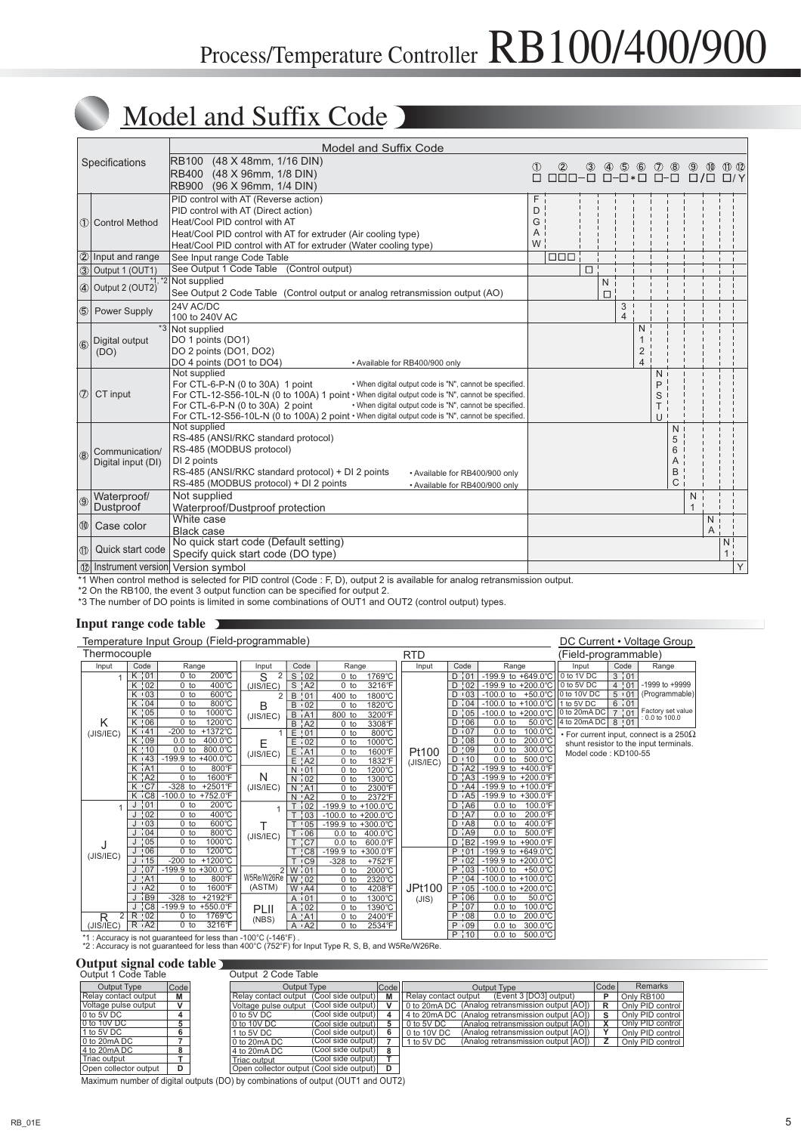# Model and Suffix Code

|                |                                      | Model and Suffix Code                                                                                                                                                                                                                                                                                                                                                                                              |        |                                           |   |               |                                     |                          |                                   |                                       |                     |                                 |                                |   |
|----------------|--------------------------------------|--------------------------------------------------------------------------------------------------------------------------------------------------------------------------------------------------------------------------------------------------------------------------------------------------------------------------------------------------------------------------------------------------------------------|--------|-------------------------------------------|---|---------------|-------------------------------------|--------------------------|-----------------------------------|---------------------------------------|---------------------|---------------------------------|--------------------------------|---|
|                | Specifications                       | <b>RB100</b><br>(48 X 48mm, 1/16 DIN)<br>RB400 (48 X 96mm, 1/8 DIN)<br>RB900 (96 X 96mm, 1/4 DIN)                                                                                                                                                                                                                                                                                                                  | ⋒<br>П | $^{\circledR}$<br>$\Box \Box \Box - \Box$ | ③ | $\circledast$ | $\circledS$<br>$\Box - \Box * \Box$ | $\circledast$            | $\circledcirc$<br>$\Box$ - $\Box$ | $^{\circledR}$                        | П                   | $\circledcirc$<br>$\sqrt{\Box}$ | $\textcircled{12}$<br>$\Box/Y$ |   |
|                | 1 Control Method                     | PID control with AT (Reverse action)<br>F<br>PID control with AT (Direct action)<br>D<br>G<br>Heat/Cool PID control with AT<br>Heat/Cool PID control with AT for extruder (Air cooling type)<br>A<br>W<br>Heat/Cool PID control with AT for extruder (Water cooling type)                                                                                                                                          |        |                                           |   |               |                                     |                          |                                   |                                       |                     |                                 |                                |   |
|                | 2 Input and range                    | See Input range Code Table                                                                                                                                                                                                                                                                                                                                                                                         |        | $\Box \Box \Box$                          |   |               |                                     |                          |                                   |                                       |                     |                                 |                                |   |
|                | 3 Output 1 (OUT1)                    | See Output 1 Code Table (Control output)                                                                                                                                                                                                                                                                                                                                                                           |        |                                           | □ |               |                                     |                          |                                   |                                       |                     |                                 |                                |   |
|                | 4 Output 2 (OUT2)                    | *1, *2 Not supplied<br>See Output 2 Code Table (Control output or analog retransmission output (AO)                                                                                                                                                                                                                                                                                                                |        |                                           |   | N<br>$\Box$   |                                     |                          |                                   |                                       |                     |                                 |                                |   |
|                | 5 Power Supply                       | 24V AC/DC<br>100 to 240V AC                                                                                                                                                                                                                                                                                                                                                                                        |        |                                           |   |               | 3<br>4                              |                          |                                   |                                       |                     |                                 |                                |   |
|                | 6 Digital output<br>(DO)             | Not supplied<br>DO 1 points (DO1)<br>DO 2 points (DO1, DO2)<br>DO 4 points (DO1 to DO4)<br>• Available for RB400/900 only                                                                                                                                                                                                                                                                                          |        |                                           |   |               |                                     | N<br>$\overline{2}$<br>4 |                                   |                                       |                     |                                 |                                |   |
|                | $\circled{7}$ CT input               | Not supplied<br>For CTL-6-P-N (0 to 30A) 1 point<br>• When digital output code is "N", cannot be specified.<br>For CTL-12-S56-10L-N (0 to 100A) 1 point • When digital output code is "N", cannot be specified.<br>For CTL-6-P-N (0 to 30A) 2 point<br>• When digital output code is "N", cannot be specified.<br>For CTL-12-S56-10L-N (0 to 100A) 2 point · When digital output code is "N", cannot be specified. |        |                                           |   |               |                                     |                          | N<br>P<br>S<br>UΙ                 |                                       |                     |                                 |                                |   |
| $ $ (8)        | Communication/<br>Digital input (DI) | Not supplied<br>RS-485 (ANSI/RKC standard protocol)<br>RS-485 (MODBUS protocol)<br>DI 2 points<br>RS-485 (ANSI/RKC standard protocol) + DI 2 points<br>• Available for RB400/900 only<br>RS-485 (MODBUS protocol) + DI 2 points<br>• Available for RB400/900 only                                                                                                                                                  |        |                                           |   |               |                                     |                          |                                   | N<br>5<br>6<br>A<br>B<br>$\mathsf{C}$ |                     |                                 |                                |   |
| $\circledcirc$ | Waterproof/<br>Dustproof             | Not supplied<br>Waterproof/Dustproof protection                                                                                                                                                                                                                                                                                                                                                                    |        |                                           |   |               |                                     |                          |                                   |                                       | N<br>$\overline{1}$ |                                 |                                |   |
| 0              | Case color                           | White case<br><b>Black case</b>                                                                                                                                                                                                                                                                                                                                                                                    |        |                                           |   |               |                                     |                          |                                   |                                       |                     | N<br>A                          |                                |   |
| ID.            | Quick start code                     | No quick start code (Default setting)<br>Specify quick start code (DO type)                                                                                                                                                                                                                                                                                                                                        |        |                                           |   |               |                                     |                          |                                   |                                       |                     |                                 | N <sup>1</sup><br>$\mathbf{1}$ |   |
|                | 12 Instrument version Version symbol |                                                                                                                                                                                                                                                                                                                                                                                                                    |        |                                           |   |               |                                     |                          |                                   |                                       |                     |                                 |                                | Y |

\*1 When control method is selected for PID control (Code : F, D), output 2 is available for analog retransmission output.

\*2 On the RB100, the event 3 output function can be specified for output 2.

\*3 The number of DO points is limited in some combinations of OUT1 and OUT2 (control output) types.

### **Input range code table**

| Temperature Input Group (Field-programmable) |                                 |                                                               |                | DC Current • Voltage Group      |                                |                  |            |                                  |                                                                |                              |              |                                                      |
|----------------------------------------------|---------------------------------|---------------------------------------------------------------|----------------|---------------------------------|--------------------------------|------------------|------------|----------------------------------|----------------------------------------------------------------|------------------------------|--------------|------------------------------------------------------|
| Thermocouple                                 |                                 |                                                               |                |                                 |                                |                  | <b>RTD</b> |                                  |                                                                | (Field-programmable)         |              |                                                      |
| Input                                        | Code                            | Range                                                         | Input          | Code                            | Range                          |                  | Input      | Code                             | Range                                                          | Input                        | Code         | Range                                                |
| $\mathbf{1}$                                 | $K$ 01                          | $200^{\circ}$ C<br>$0$ to                                     | 2<br>S         | S <sub>1</sub> 02               | $0$ to                         | 1769°C           |            | $D$ $101$                        | -199.9 to +649.0°C                                             | 0 to 1V DC                   | $3 \nmid 01$ |                                                      |
|                                              | Κ<br>:02                        | $400^{\circ}$ C<br>$0$ to                                     | (JIS/IEC)      | $S^1$ A2                        | $0$ to                         | 3216°F           |            | D:02                             | -199.9 to +200.0°C                                             | 0 to 5V DC                   | 4:01         | -1999 to +9999                                       |
|                                              | $K \cdot 03$                    | 600°C<br>$0$ to                                               | $\overline{2}$ | B<br>, 01                       | 400 to                         | 1800°C           |            | $D + 03$                         | -100.0 to $+50.0^{\circ}$ C                                    | 0 to 10V DC                  | 5.101        | (Programmable)                                       |
|                                              | $\frac{1}{1}04$<br>K            | 800°C<br>$0$ to                                               | B              | 02<br>B                         | $0$ to                         | 1820°C           |            | $D \nmid 04$                     | -100.0 to +100.0°C                                             | 1 to 5V DC                   | $6 \div 01$  | Factory set value                                    |
|                                              | $\frac{1}{1}05$<br>K            | 1000°C<br>$0$ to<br>1200°C                                    | (JIS/IEC)      | A1<br>B                         | 800 to                         | 3200°F           |            | $\frac{1}{1}05$<br>D             | $-100.0$ to $+200.0^{\circ}$ C                                 | 0 to 20mA DC<br>4 to 20mA DC | 7:01         | : 0.0 to 100.0                                       |
| K                                            | :06<br>Κ<br>K:41                | $0$ to<br>$-200$ to<br>+1372°C                                |                | B<br>$^{\prime}$ A2             | $0$ to                         | 3308°F           |            | :06<br>D<br>D:07                 | $50.0^{\circ}$ C<br>$0.0$ to<br>$\overline{0.0}$ to<br>100.0°C |                              | 8:01         |                                                      |
| (JIS/IEC)                                    | $K$ $109$                       | $0.0$ to<br>400.0°C                                           |                | E<br>:01<br>$\frac{1}{1}02$     | $\overline{0}$ to              | 800°C            |            | D <sub>1</sub> 08                | $0.0$ to<br>200.0°C                                            |                              |              | $\cdot$ For current input, connect is a 250 $\Omega$ |
|                                              | K!10                            | 800.0°C<br>$\overline{0.0}$ to                                | Е              | E<br>E<br>$^{\prime}$ A1        | $0$ to<br>$0$ to               | 1000°C<br>1600°F | Pt100      | $D$ $,09$                        | 0.0 <sub>to</sub><br>300.0°C                                   |                              |              | shunt resistor to the input terminals.               |
|                                              | $K \cdot 43$                    | -199.9 to +400.0°C                                            | (JIS/IEC)      | $E$ $A2$                        | $0$ to                         | 1832°F           |            | D:10                             | 500.0°C<br>0.0 <sub>to</sub>                                   | Model code: KD100-55         |              |                                                      |
|                                              | AA<br>$\overline{\mathsf{K}}$   | 800°F<br>$0$ to                                               |                | $N \cdot 01$                    | $0$ to                         | 1200°C           | (JIS/IEC)  | D <sub>1</sub> A2                | $-199.9$ to $+400.0$ °F                                        |                              |              |                                                      |
|                                              | $^1$ A2<br>K                    | 1600°F<br>0 <sub>to</sub>                                     | N              | $\frac{1}{1}02$<br>N            | $0$ to                         | 1300°C           |            | $D$ $\mid$ A <sub>3</sub>        | -199.9 to $+200.0^{\circ}$ F                                   |                              |              |                                                      |
|                                              | K:CT                            | $-328$ to<br>$+2501$ °F                                       | (JIS/IEC)      | ' A1<br>N                       | $\overline{0}$ to              | 2300°F           |            | $D$ $AA$                         | -199.9 to +100.0°F                                             |                              |              |                                                      |
|                                              | K C <sub>8</sub>                | $-100.0$ to $+752.0$ °F                                       |                | $N$ $\cdot$ A2                  | $0$ to                         | 2372°F           |            | $D$ $A5$                         | -199.9 to +300.0°F                                             |                              |              |                                                      |
| 1                                            | $\frac{1}{1}01$                 | 200°C<br>$0$ to                                               |                | : 02                            | -199.9 to +100.0°C             |                  |            | $^{\prime}$ A6<br>D              | 100.0°F<br>$0.0$ to                                            |                              |              |                                                      |
|                                              | : 02                            | $400^{\circ}$ C<br>$0$ to                                     |                | $\frac{1}{1}$ 03                | -100.0 to +200.0°C             |                  |            | $D$ $\uparrow$ A7                | $0.0$ to<br>200.0°F                                            |                              |              |                                                      |
|                                              | .03                             | 600°C<br>$0$ to                                               | т              | :05                             | -199.9 to $+300.0^{\circ}$ C   |                  |            | D A8                             | 400.0°F<br>$0.0$ to                                            |                              |              |                                                      |
|                                              | $\frac{1}{1}04$                 | 800°C<br>$\overline{0}$ to<br>1000°C<br>$0$ to                | (JIS/IEC)      | $\frac{1}{106}$<br>T            | $0.0$ to                       | 400.0°C          |            | $D$ $AB$                         | 500.0°F<br>$\overline{0.0}$ to                                 |                              |              |                                                      |
|                                              | $\frac{1}{1}05$<br>.06          | $0$ to<br>1200°C                                              |                | $'_{\rm C7}$<br>$\overline{C8}$ | $0.0$ to<br>-199.9 to +300.0°F | 600.0°F          |            | $\frac{1}{1}B2$<br>D<br>P<br>:01 | -199.9 to +900.0°F<br>$-199.9$ to $+649.0^{\circ}$ C           |                              |              |                                                      |
| (JIS/IEC)                                    | $J \cdot 15$                    | $-200$ to<br>$+1200^{\circ}$ C                                |                | $\overline{C9}$                 | $-328$ to                      | +752°F           |            | $\frac{1}{102}$<br>P             | -199.9 to +200.0°C                                             |                              |              |                                                      |
|                                              | $\frac{1}{1}07$                 | -199.9 to +300.0°C                                            |                | $2\sqrt{W}$<br>$\frac{1}{1}01$  | $0$ to                         | 2000°C           |            | 103<br>P                         | -100.0 to +50.0°C                                              |                              |              |                                                      |
|                                              | !A1                             | 800°F<br>$0$ to                                               | W5Re/W26Re     | W<br>$\frac{1}{1}02$            | $0$ to                         | 2320°C           |            | $P$ $ 04$                        | -100.0 to +100.0°C                                             |                              |              |                                                      |
|                                              | A2                              | 1600°F<br>$0$ to                                              | (ASTM)         | $W$ ! A4                        | $0$ to                         | 4208°F           | JPt100     | P:05                             | -100.0 to +200.0°C                                             |                              |              |                                                      |
|                                              | $\overline{1}$ B9               | $-328$ to<br>$+2192$ °F                                       |                | A <sub>1</sub> 01               | $0$ to                         | 1300°C           | (JIS)      | P <sub>106</sub>                 | $0.0$ to<br>50.0°C                                             |                              |              |                                                      |
|                                              | $^{\prime}$ C <sub>8</sub><br>J | -199.9 to +550.0°F                                            | PLII           | $\frac{1}{1}$ 02<br>A           | $0$ to                         | 1390°C           |            | $P$ 07                           | 100.0°C<br>$0.0$ to                                            |                              |              |                                                      |
| $\overline{2}$<br>R                          | R:02                            | 1769°C<br>$0$ to                                              | (NBS)          | $^{\prime}$ .A1<br>A            | $0$ to                         | 2400°F           |            | P:08                             | 200.0°C<br>0.0 <sub>to</sub>                                   |                              |              |                                                      |
| (JIS/IEC)                                    | $R \nightharpoonup A2$          | 3216°F<br>$\overline{0}$ to                                   |                | $A \cdot A2$                    | $0$ to                         | 2534°F           |            | $\frac{1}{109}$<br>P             | 300.0°C<br>0.0 <sub>to</sub>                                   |                              |              |                                                      |
|                                              |                                 | *1 · Accuracy is not quaranteed for less than -100°C (-146°F) |                |                                 |                                |                  |            | P <sub>1</sub> 10                | 500.0°C<br>$0.0$ to                                            |                              |              |                                                      |

\*1 : Accuracy is not guaranteed for less than -100°C (-146°F) . \*2 : Accuracy is not guaranteed for less than 400°C (752°F) for Input Type R, S, B, and W5Re/W26Re.

### **Output signal code table**

| Output 1 Code Table   |      |  | Output 2 Code Table                        |                    |              |                      |                                                  |   |                  |       |  |             |      |         |
|-----------------------|------|--|--------------------------------------------|--------------------|--------------|----------------------|--------------------------------------------------|---|------------------|-------|--|-------------|------|---------|
| Output Type           | Code |  | Output Type                                |                    |              |                      |                                                  |   |                  | Codel |  | Output Type | Code | Remarks |
| Relay contact output  | М    |  | Relav contact output                       | (Cool side output) | M            | Relay contact output | (Event 3 IDO31 output)                           |   | Only RB100       |       |  |             |      |         |
| Voltage pulse output  | v    |  | Voltage pulse output                       | (Cool side output) | $\mathbf{v}$ |                      | 0 to 20mA DC (Analog retransmission output [AO]) | R | Only PID control |       |  |             |      |         |
| 0 to 5V DC            |      |  | 0 to 5V DC                                 | (Cool side output) |              |                      | 4 to 20mA DC (Analog retransmission output [AO]) |   | Only PID control |       |  |             |      |         |
| 0 to 10V DC           |      |  | 0 to 10V DC                                | (Cool side output) |              | 0 to 5V DC           | (Analog retransmission output [AO])              |   | Only PID control |       |  |             |      |         |
| 1 to 5V DC            | 6    |  | 1 to 5V DC                                 | (Cool side output) |              | 0 to 10V DC          | (Analog retransmission output [AO])              |   | Only PID control |       |  |             |      |         |
| 0 to 20mA DC          |      |  | 0 to 20mA DC                               | (Cool side output) |              | to 5V DC             | (Analog retransmission output [AO])              |   | Only PID control |       |  |             |      |         |
| 4 to 20mA DC          | 8    |  | 4 to 20mA DC                               | (Cool side output) | 8            |                      |                                                  |   |                  |       |  |             |      |         |
| Triac output          |      |  | Triac output                               | (Cool side output) |              |                      |                                                  |   |                  |       |  |             |      |         |
| Open collector output | D    |  | Open collector output (Cool side output) D |                    |              |                      |                                                  |   |                  |       |  |             |      |         |

Maximum number of digital outputs (DO) by combinations of output (OUT1 and OUT2)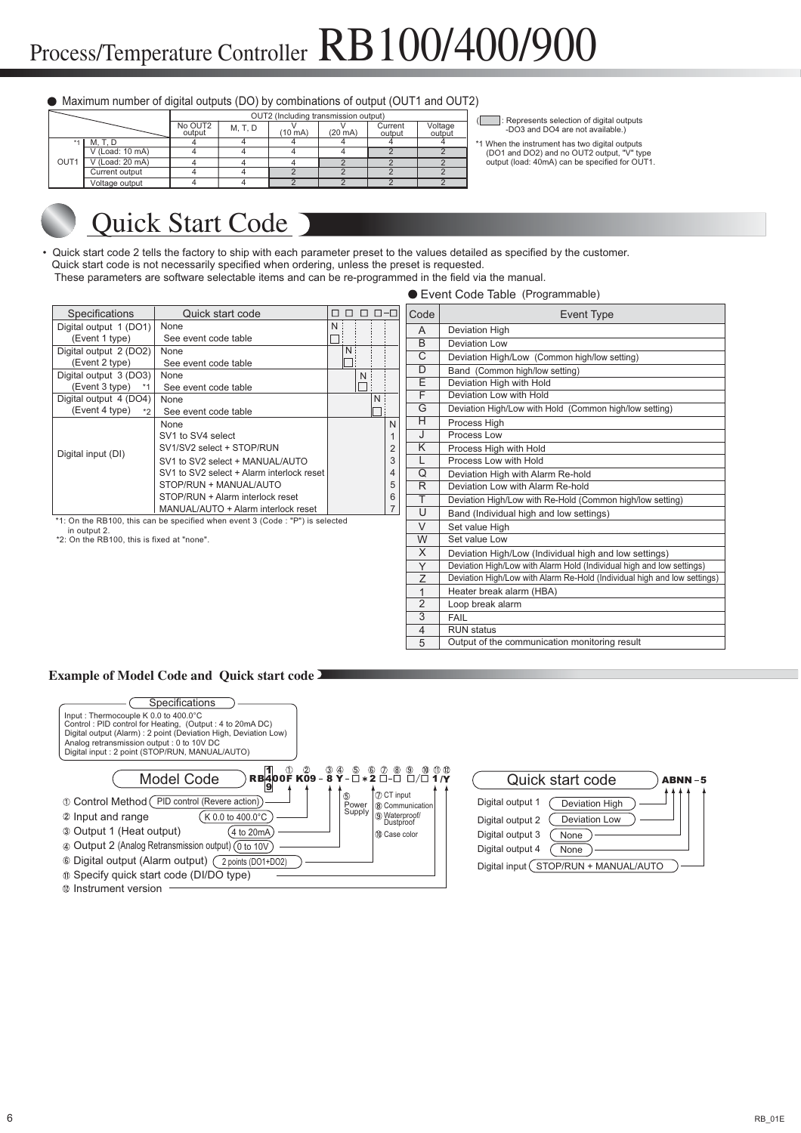#### Maximum number of digital outputs (DO) by combinations of output (OUT1 and OUT2)

|      |                 |                   |         | OUT2 (Including transmission output) | : Represents selection of digital outputs |                   |                   |                                                |
|------|-----------------|-------------------|---------|--------------------------------------|-------------------------------------------|-------------------|-------------------|------------------------------------------------|
|      |                 | No OUT2<br>output | M, T, D | $(10 \text{ mA})$                    | $(20 \text{ mA})$                         | Current<br>output | Voltage<br>output | -DO3 and DO4 are not available.)               |
|      | $*1$ M.T.D      |                   |         |                                      |                                           |                   |                   | *1 When the instrument has two digital outputs |
|      | V (Load: 10 mA) |                   |         |                                      |                                           |                   |                   | (DO1 and DO2) and no OUT2 output, "V" type     |
| OUT1 | V (Load: 20 mA) |                   |         |                                      |                                           |                   |                   | output (load: 40mA) can be specified for OUT1. |
|      | Current output  |                   |         |                                      |                                           |                   |                   |                                                |
|      | Voltage output  |                   |         |                                      |                                           |                   |                   |                                                |

Deviation High/Low with Alarm Re-Hold (Individual high and low settings)

Output of the communication monitoring result

# Quick Start Code

• Quick start code 2 tells the factory to ship with each parameter preset to the values detailed as specified by the customer. Quick start code is not necessarily specified when ordering, unless the preset is requested.

These parameters are software selectable items and can be re-programmed in the field via the manual.

#### Event Code Table (Programmable)

| Specifications                             | Quick start code                                                             | $\Box$ $\Box$ $\Box$ $\Box$ $\lnot$<br>$\Box$ | Code         | Event Type                                                            |
|--------------------------------------------|------------------------------------------------------------------------------|-----------------------------------------------|--------------|-----------------------------------------------------------------------|
| Digital output 1 (DO1)                     | None                                                                         | N                                             | A            | Deviation High                                                        |
| (Event 1 type)                             | See event code table                                                         |                                               | B            | <b>Deviation Low</b>                                                  |
| Digital output 2 (DO2)                     | None                                                                         | N.                                            | С            | Deviation High/Low (Common high/low setting)                          |
| (Event 2 type)                             | See event code table                                                         |                                               | D            |                                                                       |
| Digital output 3 (DO3)                     | None                                                                         | N                                             |              | Band (Common high/low setting)                                        |
| (Event 3 type)                             | See event code table                                                         |                                               | E            | Deviation High with Hold                                              |
| Digital output 4 (DO4)                     | None                                                                         | N                                             | F            | Deviation Low with Hold                                               |
| (Event 4 type)<br>$*2$                     | See event code table                                                         |                                               | G            | Deviation High/Low with Hold (Common high/low setting)                |
|                                            | None                                                                         | N                                             | Н            | Process High                                                          |
|                                            | SV1 to SV4 select                                                            |                                               | J            | Process Low                                                           |
| Digital input (DI)                         | SV1/SV2 select + STOP/RUN                                                    | $\overline{2}$                                | K            | Process High with Hold                                                |
|                                            | SV1 to SV2 select + MANUAL/AUTO                                              | 3                                             |              | Process Low with Hold                                                 |
|                                            | SV1 to SV2 select + Alarm interlock reset                                    | 4                                             | Q            | Deviation High with Alarm Re-hold                                     |
|                                            | STOP/RUN + MANUAL/AUTO                                                       | 5                                             | R            | Deviation Low with Alarm Re-hold                                      |
|                                            | STOP/RUN + Alarm interlock reset                                             | 6                                             |              | Deviation High/Low with Re-Hold (Common high/low setting)             |
|                                            | MANUAL/AUTO + Alarm interlock reset                                          | $\overline{7}$                                | U            | Band (Individual high and low settings)                               |
| in output 2.                               | *1: On the RB100, this can be specified when event 3 (Code: "P") is selected |                                               | V            | Set value High                                                        |
| *2: On the RB100, this is fixed at "none". |                                                                              |                                               | W            | Set value Low                                                         |
|                                            |                                                                              |                                               | X            | Deviation High/Low (Individual high and low settings)                 |
|                                            |                                                                              |                                               | $\checkmark$ | Deviation High/Low with Alarm Hold (Individual high and low settings) |

5 1

 $\overline{z}$ 

4 5 3  $FAT$ 

RUN status

Loop break alarm Heater break alarm (HBA)

## **Example of Model Code and Quick start code**

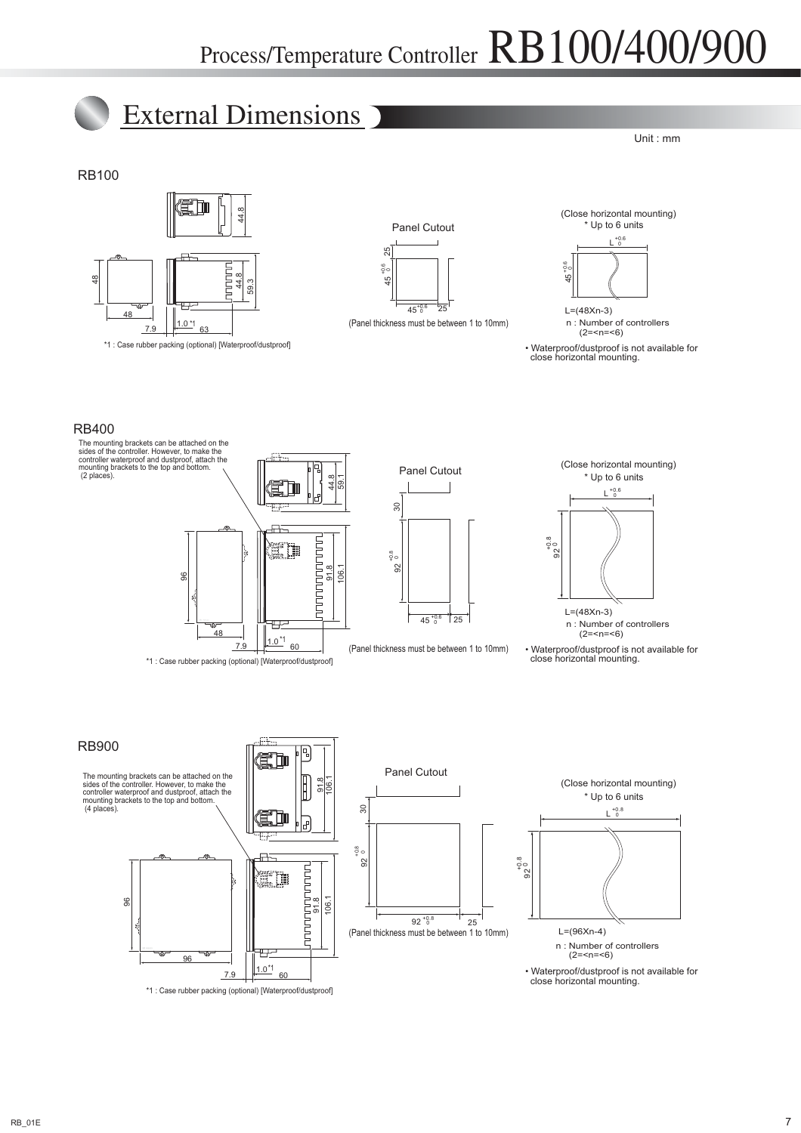

• Waterproof/dustproof is not available for close horizontal mounting.

 $\frac{1.0^{11}}{60}$ 

\*1 : Case rubber packing (optional) [Waterproof/dustproof]